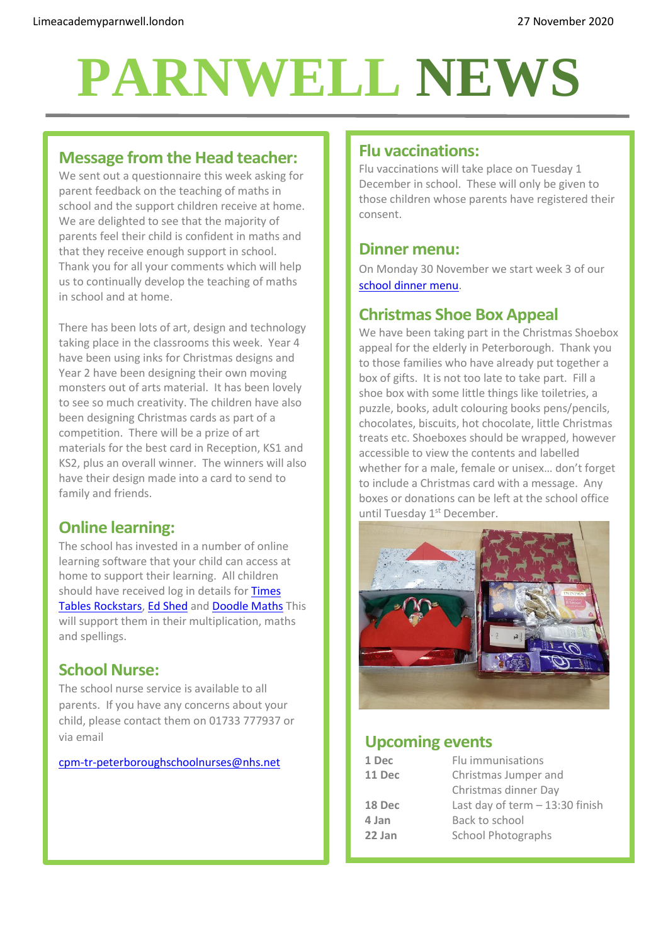# **PARNWELL NEWS**

#### **Message from the Head teacher:**

We sent out a questionnaire this week asking for parent feedback on the teaching of maths in school and the support children receive at home. We are delighted to see that the majority of parents feel their child is confident in maths and that they receive enough support in school. Thank you for all your comments which will help us to continually develop the teaching of maths in school and at home.

There has been lots of art, design and technology taking place in the classrooms this week. Year 4 have been using inks for Christmas designs and Year 2 have been designing their own moving monsters out of arts material. It has been lovely to see so much creativity. The children have also been designing Christmas cards as part of a competition. There will be a prize of art materials for the best card in Reception, KS1 and KS2, plus an overall winner. The winners will also have their design made into a card to send to family and friends.

## **Online learning:**

The school has invested in a number of online learning software that your child can access at home to support their learning. All children should have received log in details for Times [Tables Rockstars,](https://ttrockstars.com/) [Ed Shed](https://play.edshed.com/en-gb/login) and [Doodle Maths](https://www.doodlemaths.com/) This will support them in their multiplication, maths and spellings.

#### **School Nurse:**

The school nurse service is available to all parents. If you have any concerns about your child, please contact them on 01733 777937 or via email

#### [cpm-tr-peterboroughschoolnurses@nhs.net](mailto:cpm-tr-peterboroughschoolnurses@nhs.net)

#### **Flu vaccinations:**

Flu vaccinations will take place on Tuesday 1 December in school. These will only be given to those children whose parents have registered their consent.

#### **Dinner menu:**

On Monday 30 November we start week 3 of our [school dinner menu.](http://limeacademyparnwell.london/media/3932/dinner-menu-2020-09-18.pdf)

### **Christmas Shoe Box Appeal**

We have been taking part in the Christmas Shoebox appeal for the elderly in Peterborough. Thank you to those families who have already put together a box of gifts. It is not too late to take part. Fill a shoe box with some little things like toiletries, a puzzle, books, adult colouring books pens/pencils, chocolates, biscuits, hot chocolate, little Christmas treats etc. Shoeboxes should be wrapped, however accessible to view the contents and labelled whether for a male, female or unisex… don't forget to include a Christmas card with a message. Any boxes or donations can be left at the school office until Tuesday 1<sup>st</sup> December.



#### **Upcoming events**

| 1 Dec  | Flu immunisations                |
|--------|----------------------------------|
| 11 Dec | Christmas Jumper and             |
|        | Christmas dinner Day             |
| 18 Dec | Last day of term $-13:30$ finish |
| 4 Jan  | Back to school                   |
| 22 Jan | <b>School Photographs</b>        |
|        |                                  |